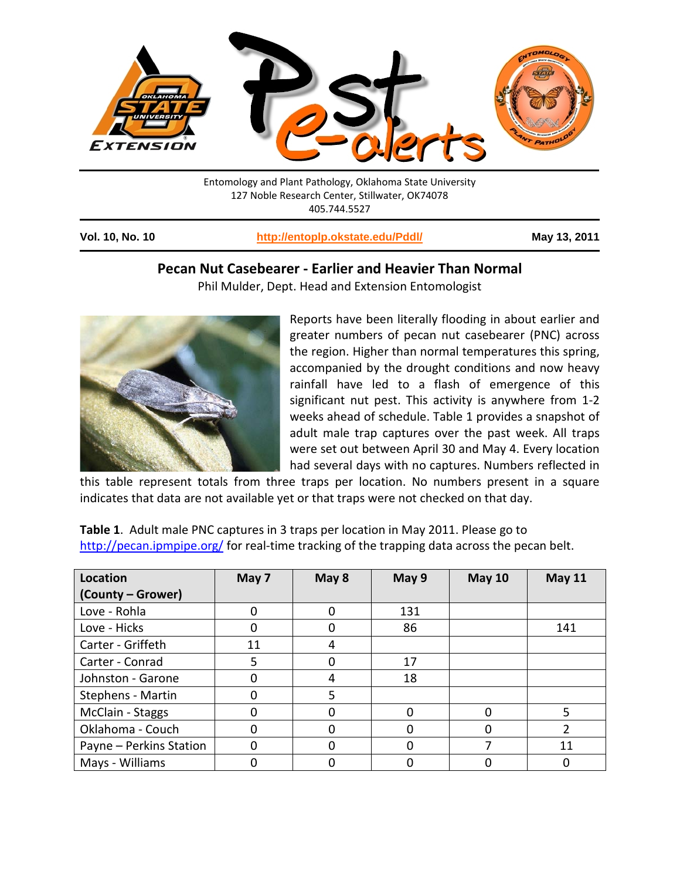

Entomology and Plant Pathology, Oklahoma State University 127 Noble Research Center, Stillwater, OK74078 405.744.5527

**Vol. 10, No. 10 <http://entoplp.okstate.edu/Pddl/> May 13, 2011**

## **Pecan Nut Casebearer - Earlier and Heavier Than Normal**

Phil Mulder, Dept. Head and Extension Entomologist



Reports have been literally flooding in about earlier and greater numbers of pecan nut casebearer (PNC) across the region. Higher than normal temperatures this spring, accompanied by the drought conditions and now heavy rainfall have led to a flash of emergence of this significant nut pest. This activity is anywhere from 1-2 weeks ahead of schedule. Table 1 provides a snapshot of adult male trap captures over the past week. All traps were set out between April 30 and May 4. Every location had several days with no captures. Numbers reflected in

this table represent totals from three traps per location. No numbers present in a square indicates that data are not available yet or that traps were not checked on that day.

| <b>Location</b>         | May 7 | May 8    | May 9 | <b>May 10</b> | <b>May 11</b> |
|-------------------------|-------|----------|-------|---------------|---------------|
| (County – Grower)       |       |          |       |               |               |
| Love - Rohla            |       | 0        | 131   |               |               |
| Love - Hicks            |       | 0        | 86    |               | 141           |
| Carter - Griffeth       | 11    | 4        |       |               |               |
| Carter - Conrad         | 5     | 0        | 17    |               |               |
| Johnston - Garone       |       | 4        | 18    |               |               |
| Stephens - Martin       |       | 5        |       |               |               |
| McClain - Staggs        |       | 0        | ი     | 0             | 5             |
| Oklahoma - Couch        |       | 0        | Ω     | 0             |               |
| Payne - Perkins Station |       | $\Omega$ | 0     |               | 11            |
| Mays - Williams         |       | ი        |       | ი             |               |

**Table 1**. Adult male PNC captures in 3 traps per location in May 2011. Please go to <http://pecan.ipmpipe.org/> for real-time tracking of the trapping data across the pecan belt.